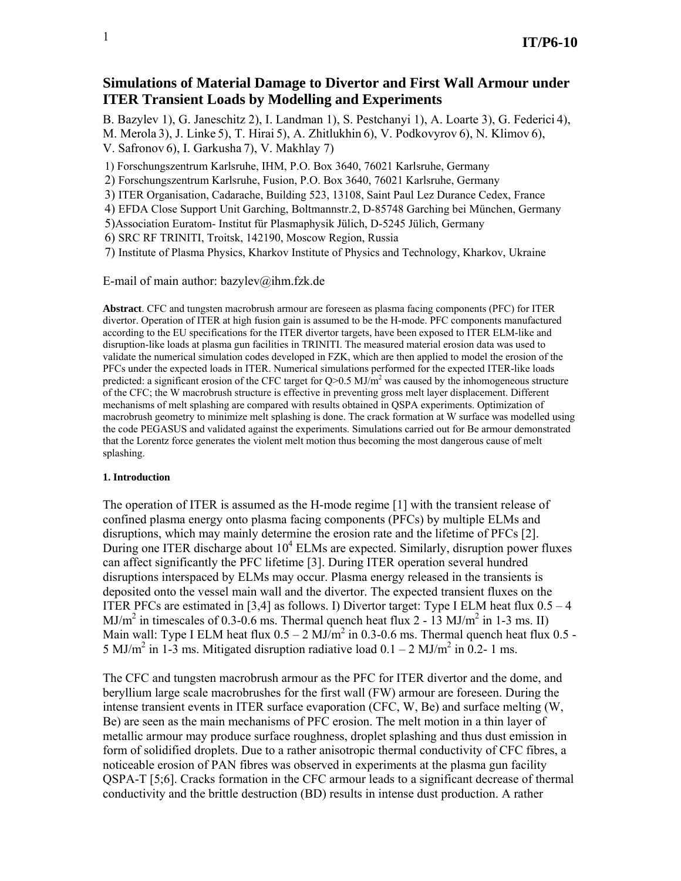# **Simulations of Material Damage to Divertor and First Wall Armour under ITER Transient Loads by Modelling and Experiments**

B. Bazylev 1), G. Janeschitz 2), I. Landman 1), S. Pestchanyi 1), A. Loarte 3), G. Federici 4), M. Merola 3), J. Linke 5), T. Hirai 5), A. Zhitlukhin 6), V. Podkovyrov 6), N. Klimov 6),

V. Safronov 6), I. Garkusha 7), V. Makhlay 7)

1) Forschungszentrum Karlsruhe, IHM, P.O. Box 3640, 76021 Karlsruhe, Germany

2) Forschungszentrum Karlsruhe, Fusion, P.O. Box 3640, 76021 Karlsruhe, Germany

3) ITER Organisation, Cadarache, Building 523, 13108, Saint Paul Lez Durance Cedex, France

4) EFDA Close Support Unit Garching, Boltmannstr.2, D-85748 Garching bei München, Germany

5)Association Euratom- Institut für Plasmaphysik Jülich, D-5245 Jülich, Germany

6) SRC RF TRINITI, Troitsk, 142190, Moscow Region, Russia

7) Institute of Plasma Physics, Kharkov Institute of Physics and Technology, Kharkov, Ukraine

E-mail of main author: bazylev@ihm.fzk.de

**Abstract**. CFC and tungsten macrobrush armour are foreseen as plasma facing components (PFC) for ITER divertor. Operation of ITER at high fusion gain is assumed to be the H-mode. PFC components manufactured according to the EU specifications for the ITER divertor targets, have been exposed to ITER ELM-like and disruption-like loads at plasma gun facilities in TRINITI. The measured material erosion data was used to validate the numerical simulation codes developed in FZK, which are then applied to model the erosion of the PFCs under the expected loads in ITER. Numerical simulations performed for the expected ITER-like loads predicted: a significant erosion of the CFC target for  $Q>0.5$  MJ/m<sup>2</sup> was caused by the inhomogeneous structure of the CFC; the W macrobrush structure is effective in preventing gross melt layer displacement. Different mechanisms of melt splashing are compared with results obtained in QSPA experiments. Optimization of macrobrush geometry to minimize melt splashing is done. The crack formation at W surface was modelled using the code PEGASUS and validated against the experiments. Simulations carried out for Be armour demonstrated that the Lorentz force generates the violent melt motion thus becoming the most dangerous cause of melt splashing.

#### **1. Introduction**

The operation of ITER is assumed as the H-mode regime [1] with the transient release of confined plasma energy onto plasma facing components (PFCs) by multiple ELMs and disruptions, which may mainly determine the erosion rate and the lifetime of PFCs [2]. During one ITER discharge about  $10^4$  ELMs are expected. Similarly, disruption power fluxes can affect significantly the PFC lifetime [3]. During ITER operation several hundred disruptions interspaced by ELMs may occur. Plasma energy released in the transients is deposited onto the vessel main wall and the divertor. The expected transient fluxes on the ITER PFCs are estimated in [3,4] as follows. I) Divertor target: Type I ELM heat flux  $0.5 - 4$ MJ/m<sup>2</sup> in timescales of 0.3-0.6 ms. Thermal quench heat flux 2 - 13 MJ/m<sup>2</sup> in 1-3 ms. II) Main wall: Type I ELM heat flux  $0.5 - 2$  MJ/m<sup>2</sup> in 0.3-0.6 ms. Thermal quench heat flux 0.5 -5 MJ/m<sup>2</sup> in 1-3 ms. Mitigated disruption radiative load  $0.1 - 2$  MJ/m<sup>2</sup> in 0.2- 1 ms.

The CFC and tungsten macrobrush armour as the PFC for ITER divertor and the dome, and beryllium large scale macrobrushes for the first wall (FW) armour are foreseen. During the intense transient events in ITER surface evaporation (CFC, W, Be) and surface melting (W, Be) are seen as the main mechanisms of PFC erosion. The melt motion in a thin layer of metallic armour may produce surface roughness, droplet splashing and thus dust emission in form of solidified droplets. Due to a rather anisotropic thermal conductivity of CFC fibres, a noticeable erosion of PAN fibres was observed in experiments at the plasma gun facility QSPA-T [5;6]. Cracks formation in the CFC armour leads to a significant decrease of thermal conductivity and the brittle destruction (BD) results in intense dust production. A rather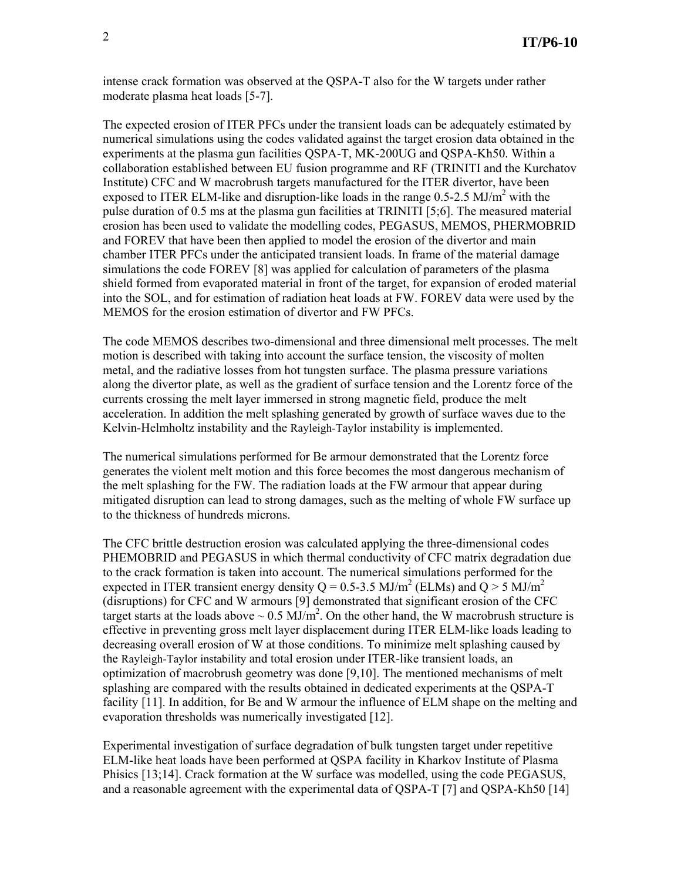intense crack formation was observed at the QSPA-T also for the W targets under rather moderate plasma heat loads [5-7].

The expected erosion of ITER PFCs under the transient loads can be adequately estimated by numerical simulations using the codes validated against the target erosion data obtained in the experiments at the plasma gun facilities QSPA-T, MK-200UG and QSPA-Kh50. Within a collaboration established between EU fusion programme and RF (TRINITI and the Kurchatov Institute) CFC and W macrobrush targets manufactured for the ITER divertor, have been exposed to ITER ELM-like and disruption-like loads in the range  $0.5$ -2.5 MJ/m<sup>2</sup> with the pulse duration of 0.5 ms at the plasma gun facilities at TRINITI [5;6]. The measured material erosion has been used to validate the modelling codes, PEGASUS, MEMOS, PHERMOBRID and FOREV that have been then applied to model the erosion of the divertor and main chamber ITER PFCs under the anticipated transient loads. In frame of the material damage simulations the code FOREV [8] was applied for calculation of parameters of the plasma shield formed from evaporated material in front of the target, for expansion of eroded material into the SOL, and for estimation of radiation heat loads at FW. FOREV data were used by the MEMOS for the erosion estimation of divertor and FW PFCs.

The code MEMOS describes two-dimensional and three dimensional melt processes. The melt motion is described with taking into account the surface tension, the viscosity of molten metal, and the radiative losses from hot tungsten surface. The plasma pressure variations along the divertor plate, as well as the gradient of surface tension and the Lorentz force of the currents crossing the melt layer immersed in strong magnetic field, produce the melt acceleration. In addition the melt splashing generated by growth of surface waves due to the Kelvin-Helmholtz instability and the Rayleigh-Taylor instability is implemented.

The numerical simulations performed for Be armour demonstrated that the Lorentz force generates the violent melt motion and this force becomes the most dangerous mechanism of the melt splashing for the FW. The radiation loads at the FW armour that appear during mitigated disruption can lead to strong damages, such as the melting of whole FW surface up to the thickness of hundreds microns.

The CFC brittle destruction erosion was calculated applying the three-dimensional codes PHEMOBRID and PEGASUS in which thermal conductivity of CFC matrix degradation due to the crack formation is taken into account. The numerical simulations performed for the expected in ITER transient energy density  $Q = 0.5$ -3.5 MJ/m<sup>2</sup> (ELMs) and  $Q > 5$  MJ/m<sup>2</sup> (disruptions) for CFC and W armours [9] demonstrated that significant erosion of the CFC target starts at the loads above  $\sim 0.5 \text{ MJ/m}^2$ . On the other hand, the W macrobrush structure is effective in preventing gross melt layer displacement during ITER ELM-like loads leading to decreasing overall erosion of W at those conditions. To minimize melt splashing caused by the Rayleigh-Taylor instability and total erosion under ITER-like transient loads, an optimization of macrobrush geometry was done [9,10]. The mentioned mechanisms of melt splashing are compared with the results obtained in dedicated experiments at the QSPA-T facility [11]. In addition, for Be and W armour the influence of ELM shape on the melting and evaporation thresholds was numerically investigated [12].

Experimental investigation of surface degradation of bulk tungsten target under repetitive ELM-like heat loads have been performed at QSPA facility in Kharkov Institute of Plasma Phisics [13;14]. Crack formation at the W surface was modelled, using the code PEGASUS, and a reasonable agreement with the experimental data of QSPA-T [7] and QSPA-Kh50 [14]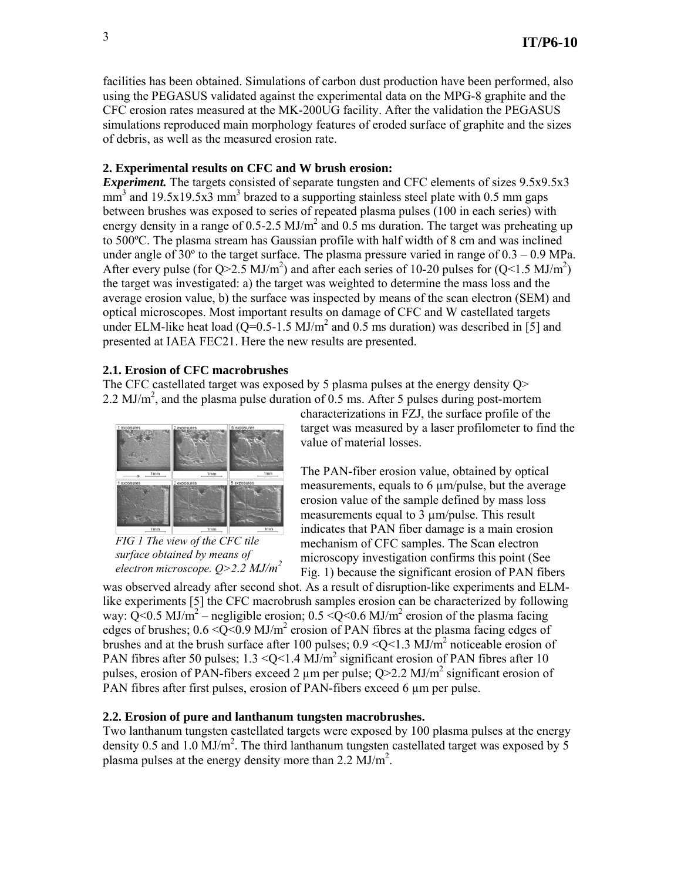facilities has been obtained. Simulations of carbon dust production have been performed, also using the PEGASUS validated against the experimental data on the MPG-8 graphite and the CFC erosion rates measured at the MK-200UG facility. After the validation the PEGASUS simulations reproduced main morphology features of eroded surface of graphite and the sizes of debris, as well as the measured erosion rate.

# **2. Experimental results on CFC and W brush erosion:**

*Experiment.* The targets consisted of separate tungsten and CFC elements of sizes 9.5x9.5x3  $\text{mm}^3$  and 19.5x19.5x3 mm<sup>3</sup> brazed to a supporting stainless steel plate with 0.5 mm gaps between brushes was exposed to series of repeated plasma pulses (100 in each series) with energy density in a range of 0.5-2.5 MJ/m<sup>2</sup> and 0.5 ms duration. The target was preheating up to 500ºC. The plasma stream has Gaussian profile with half width of 8 cm and was inclined under angle of  $30^{\circ}$  to the target surface. The plasma pressure varied in range of  $0.3 - 0.9$  MPa. After every pulse (for Q>2.5 MJ/m<sup>2</sup>) and after each series of 10-20 pulses for (Q<1.5 MJ/m<sup>2</sup>) the target was investigated: a) the target was weighted to determine the mass loss and the average erosion value, b) the surface was inspected by means of the scan electron (SEM) and optical microscopes. Most important results on damage of CFC and W castellated targets under ELM-like heat load ( $Q=0.5$ -1.5 MJ/m<sup>2</sup> and 0.5 ms duration) was described in [5] and presented at IAEA FEC21. Here the new results are presented.

# **2.1. Erosion of CFC macrobrushes**

The CFC castellated target was exposed by 5 plasma pulses at the energy density Q> 2.2 MJ/m<sup>2</sup>, and the plasma pulse duration of 0.5 ms. After 5 pulses during post-mortem



*FIG 1 The view of the CFC tile surface obtained by means of electron microscope. Q>2*.*2 MJ/m<sup>2</sup>*

characterizations in FZJ, the surface profile of the target was measured by a laser profilometer to find the value of material losses.

The PAN-fiber erosion value, obtained by optical measurements, equals to 6  $\mu$ m/pulse, but the average erosion value of the sample defined by mass loss measurements equal to 3 µm/pulse. This result indicates that PAN fiber damage is a main erosion mechanism of CFC samples. The Scan electron microscopy investigation confirms this point (See Fig. 1) because the significant erosion of PAN fibers

was observed already after second shot. As a result of disruption-like experiments and ELMlike experiments [5] the CFC macrobrush samples erosion can be characterized by following way:  $Q<0.5$  MJ/m<sup>2</sup> – negligible erosion; 0.5 < Q < 0.6 MJ/m<sup>2</sup> erosion of the plasma facing edges of brushes;  $0.6 \le \sqrt{Q} \le 0.9 \text{ MJ/m}^2$  erosion of PAN fibres at the plasma facing edges of brushes and at the brush surface after 100 pulses;  $0.9 \leq Q \leq 1.3 \text{ MJ/m}^2$  noticeable erosion of PAN fibres after 50 pulses;  $1.3 \leq Q \leq 1.4$  MJ/m<sup>2</sup> significant erosion of PAN fibres after 10 pulses, erosion of PAN-fibers exceed 2  $\mu$ m per pulse; Q>2.2 MJ/m<sup>2</sup> significant erosion of PAN fibres after first pulses, erosion of PAN-fibers exceed 6 um per pulse.

# **2.2. Erosion of pure and lanthanum tungsten macrobrushes.**

Two lanthanum tungsten castellated targets were exposed by 100 plasma pulses at the energy density 0.5 and 1.0  $\text{MJ/m}^2$ . The third lanthanum tungsten castellated target was exposed by 5 plasma pulses at the energy density more than  $2.2 \text{ MJ/m}^2$ .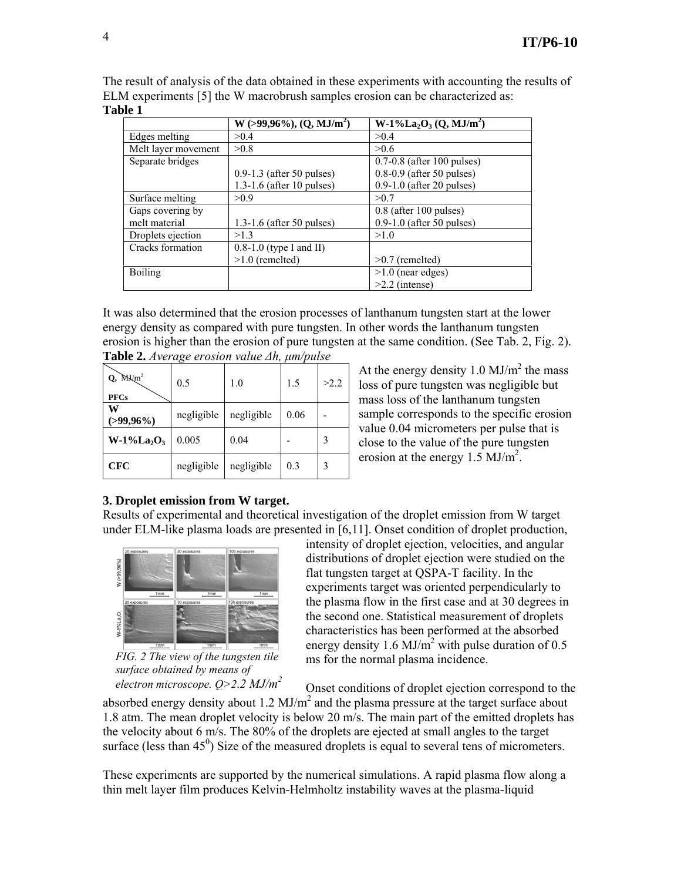|                     | $W-1\%La_2O_3(Q, MJ/m^2)$<br>$W > 99,96\%$ , $(Q, MJ/m2)$<br>>0.4<br>> 0.4 |                              |  |
|---------------------|----------------------------------------------------------------------------|------------------------------|--|
| Edges melting       |                                                                            |                              |  |
| Melt layer movement | >0.8                                                                       | >0.6                         |  |
| Separate bridges    |                                                                            | $0.7-0.8$ (after 100 pulses) |  |
|                     | $0.9-1.3$ (after 50 pulses)                                                | $0.8-0.9$ (after 50 pulses)  |  |
|                     | $1.3-1.6$ (after 10 pulses)                                                | $0.9-1.0$ (after 20 pulses)  |  |
| Surface melting     | > 0.9                                                                      | >0.7                         |  |
| Gaps covering by    |                                                                            | 0.8 (after 100 pulses)       |  |
| melt material       | $1.3-1.6$ (after 50 pulses)                                                | $0.9-1.0$ (after 50 pulses)  |  |
| Droplets ejection   | >1.3                                                                       | >1.0                         |  |
| Cracks formation    | $0.8-1.0$ (type I and II)                                                  |                              |  |
|                     | $>1.0$ (remelted)                                                          | $>0.7$ (remelted)            |  |
| <b>Boiling</b>      |                                                                            | $>1.0$ (near edges)          |  |
|                     |                                                                            | $>2.2$ (intense)             |  |

The result of analysis of the data obtained in these experiments with accounting the results of ELM experiments [5] the W macrobrush samples erosion can be characterized as: **Table 1** 

It was also determined that the erosion processes of lanthanum tungsten start at the lower energy density as compared with pure tungsten. In other words the lanthanum tungsten erosion is higher than the erosion of pure tungsten at the same condition. (See Tab. 2, Fig. 2).

| $Q$ , $M\text{K/m}^2$<br><b>PFCs</b> | 0.5        | 1.0        | 1.5  | >2.2 |
|--------------------------------------|------------|------------|------|------|
| w<br>(>99,96%)                       | negligible | negligible | 0.06 |      |
| $W-1\%La_2O_3$                       | 0.005      | 0.04       |      |      |
| <b>CFC</b>                           | negligible | negligible | 0.3  | 3    |

**Table 2.** *Average erosion value ∆h, µm/pulse*

At the energy density  $1.0 \text{ MJ/m}^2$  the mass loss of pure tungsten was negligible but mass loss of the lanthanum tungsten sample corresponds to the specific erosion value 0.04 micrometers per pulse that is close to the value of the pure tungsten erosion at the energy  $1.5 \text{ MJ/m}^2$ .

# **3. Droplet emission from W target.**

Results of experimental and theoretical investigation of the droplet emission from W target under ELM-like plasma loads are presented in [6,11]. Onset condition of droplet production,



*FIG. 2 The view of the tungsten tile surface obtained by means of electron microscope. Q>2*.*2 MJ/m<sup>2</sup>*

intensity of droplet ejection, velocities, and angular distributions of droplet ejection were studied on the flat tungsten target at QSPA-T facility. In the experiments target was oriented perpendicularly to the plasma flow in the first case and at 30 degrees in the second one. Statistical measurement of droplets characteristics has been performed at the absorbed energy density 1.6 MJ/ $m^2$  with pulse duration of 0.5 ms for the normal plasma incidence.

Onset conditions of droplet ejection correspond to the

absorbed energy density about 1.2  $MJ/m<sup>2</sup>$  and the plasma pressure at the target surface about 1.8 atm. The mean droplet velocity is below 20 m/s. The main part of the emitted droplets has the velocity about 6 m/s. The 80% of the droplets are ejected at small angles to the target surface (less than  $45^{\circ}$ ) Size of the measured droplets is equal to several tens of micrometers.

These experiments are supported by the numerical simulations. A rapid plasma flow along a thin melt layer film produces Kelvin-Helmholtz instability waves at the plasma-liquid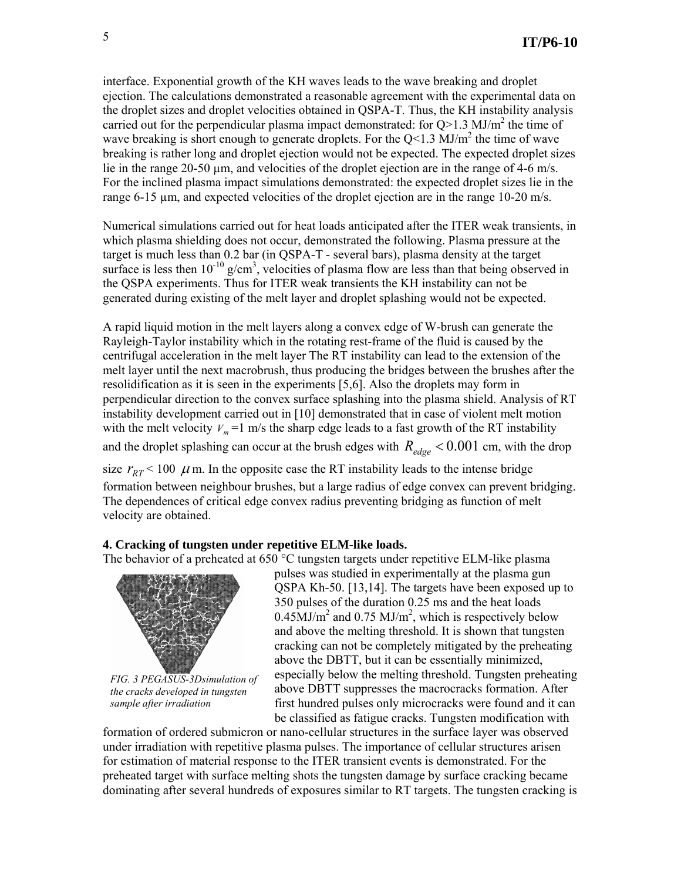interface. Exponential growth of the KH waves leads to the wave breaking and droplet ejection. The calculations demonstrated a reasonable agreement with the experimental data on the droplet sizes and droplet velocities obtained in QSPA-T. Thus, the KH instability analysis carried out for the perpendicular plasma impact demonstrated: for  $Q>1.3$  MJ/m<sup>2</sup> the time of wave breaking is short enough to generate droplets. For the  $Q<1.3$  MJ/m<sup>2</sup> the time of wave breaking is rather long and droplet ejection would not be expected. The expected droplet sizes lie in the range 20-50 µm, and velocities of the droplet ejection are in the range of 4-6 m/s. For the inclined plasma impact simulations demonstrated: the expected droplet sizes lie in the range 6-15 µm, and expected velocities of the droplet ejection are in the range 10-20 m/s.

Numerical simulations carried out for heat loads anticipated after the ITER weak transients, in which plasma shielding does not occur, demonstrated the following. Plasma pressure at the target is much less than 0.2 bar (in QSPA-T - several bars), plasma density at the target surface is less then  $10^{-10}$  g/cm<sup>3</sup>, velocities of plasma flow are less than that being observed in the QSPA experiments. Thus for ITER weak transients the KH instability can not be generated during existing of the melt layer and droplet splashing would not be expected.

A rapid liquid motion in the melt layers along a convex edge of W-brush can generate the Rayleigh-Taylor instability which in the rotating rest-frame of the fluid is caused by the centrifugal acceleration in the melt layer The RT instability can lead to the extension of the melt layer until the next macrobrush, thus producing the bridges between the brushes after the resolidification as it is seen in the experiments [5,6]. Also the droplets may form in perpendicular direction to the convex surface splashing into the plasma shield. Analysis of RT instability development carried out in [10] demonstrated that in case of violent melt motion with the melt velocity  $V_m = 1$  m/s the sharp edge leads to a fast growth of the RT instability and the droplet splashing can occur at the brush edges with  $R_{edge} < 0.001$  cm, with the drop size  $r_{RT}$  < 100  $\mu$  m. In the opposite case the RT instability leads to the intense bridge

formation between neighbour brushes, but a large radius of edge convex can prevent bridging. The dependences of critical edge convex radius preventing bridging as function of melt velocity are obtained.

# **4. Cracking of tungsten under repetitive ELM-like loads.**

The behavior of a preheated at 650 °C tungsten targets under repetitive ELM-like plasma



*FIG. 3 PEGASUS-3Dsimulation of the cracks developed in tungsten sample after irradiation* 

pulses was studied in experimentally at the plasma gun QSPA Kh-50. [13,14]. The targets have been exposed up to 350 pulses of the duration 0.25 ms and the heat loads  $0.45$ MJ/m<sup>2</sup> and  $0.75$  MJ/m<sup>2</sup>, which is respectively below and above the melting threshold. It is shown that tungsten cracking can not be completely mitigated by the preheating above the DBTT, but it can be essentially minimized, especially below the melting threshold. Tungsten preheating above DBTT suppresses the macrocracks formation. After first hundred pulses only microcracks were found and it can be classified as fatigue cracks. Tungsten modification with

formation of ordered submicron or nano-cellular structures in the surface layer was observed under irradiation with repetitive plasma pulses. The importance of cellular structures arisen for estimation of material response to the ITER transient events is demonstrated. For the preheated target with surface melting shots the tungsten damage by surface cracking became dominating after several hundreds of exposures similar to RT targets. The tungsten cracking is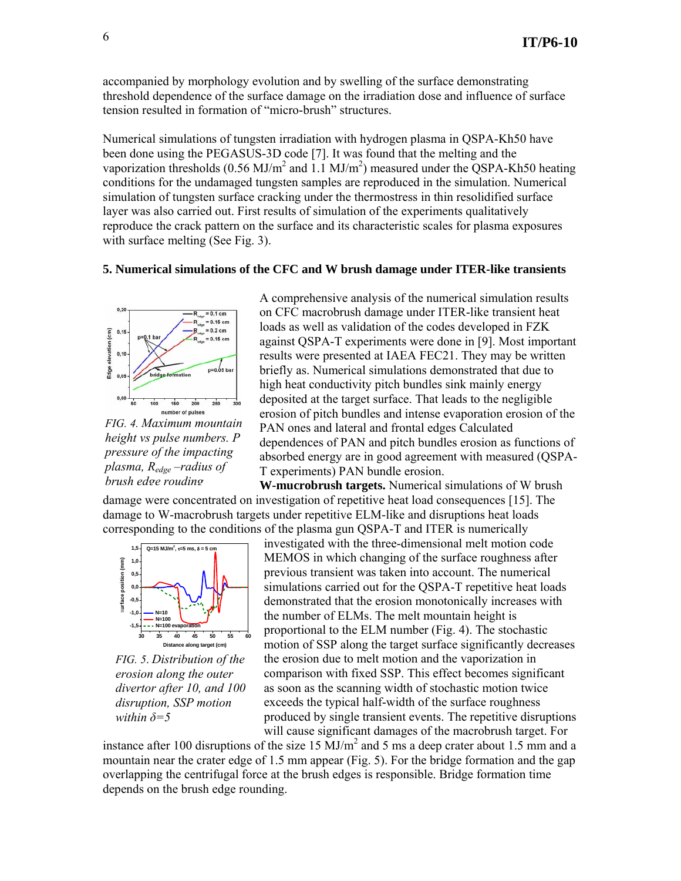accompanied by morphology evolution and by swelling of the surface demonstrating threshold dependence of the surface damage on the irradiation dose and influence of surface tension resulted in formation of "micro-brush" structures.

Numerical simulations of tungsten irradiation with hydrogen plasma in QSPA-Kh50 have been done using the PEGASUS-3D code [7]. It was found that the melting and the vaporization thresholds (0.56 MJ/m<sup>2</sup> and 1.1 MJ/m<sup>2</sup>) measured under the QSPA-Kh50 heating conditions for the undamaged tungsten samples are reproduced in the simulation. Numerical simulation of tungsten surface cracking under the thermostress in thin resolidified surface layer was also carried out. First results of simulation of the experiments qualitatively reproduce the crack pattern on the surface and its characteristic scales for plasma exposures with surface melting (See Fig. 3).

#### **5. Numerical simulations of the CFC and W brush damage under ITER-like transients**



*FIG. 4. Maximum mountain height vs pulse numbers. P pressure of the impacting plasma, Redge –radius of brush edge rouding*

A comprehensive analysis of the numerical simulation results on CFC macrobrush damage under ITER-like transient heat loads as well as validation of the codes developed in FZK against QSPA-T experiments were done in [9]. Most important results were presented at IAEA FEC21. They may be written briefly as. Numerical simulations demonstrated that due to high heat conductivity pitch bundles sink mainly energy deposited at the target surface. That leads to the negligible erosion of pitch bundles and intense evaporation erosion of the PAN ones and lateral and frontal edges Calculated dependences of PAN and pitch bundles erosion as functions of absorbed energy are in good agreement with measured (QSPA-T experiments) PAN bundle erosion.

**W-mucrobrush targets.** Numerical simulations of W brush damage were concentrated on investigation of repetitive heat load consequences [15]. The damage to W-macrobrush targets under repetitive ELM-like and disruptions heat loads corresponding to the conditions of the plasma gun QSPA-T and ITER is numerically



*FIG. 5*. *Distribution of the erosion along the outer divertor after 10, and 100 disruption, SSP motion within δ=5*

investigated with the three-dimensional melt motion code MEMOS in which changing of the surface roughness after previous transient was taken into account. The numerical simulations carried out for the QSPA-T repetitive heat loads demonstrated that the erosion monotonically increases with the number of ELMs. The melt mountain height is proportional to the ELM number (Fig. 4). The stochastic motion of SSP along the target surface significantly decreases the erosion due to melt motion and the vaporization in comparison with fixed SSP. This effect becomes significant as soon as the scanning width of stochastic motion twice exceeds the typical half-width of the surface roughness produced by single transient events. The repetitive disruptions will cause significant damages of the macrobrush target. For

instance after 100 disruptions of the size 15  $\text{MJ/m}^2$  and 5 ms a deep crater about 1.5 mm and a mountain near the crater edge of 1.5 mm appear (Fig. 5). For the bridge formation and the gap overlapping the centrifugal force at the brush edges is responsible. Bridge formation time depends on the brush edge rounding.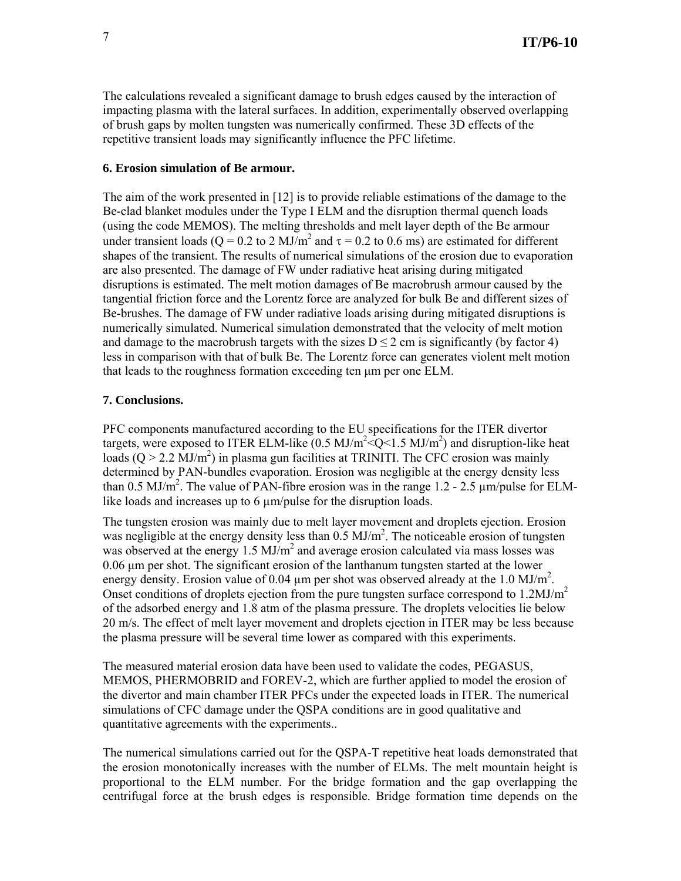The calculations revealed a significant damage to brush edges caused by the interaction of impacting plasma with the lateral surfaces. In addition, experimentally observed overlapping of brush gaps by molten tungsten was numerically confirmed. These 3D effects of the repetitive transient loads may significantly influence the PFC lifetime.

#### **6. Erosion simulation of Be armour.**

The aim of the work presented in [12] is to provide reliable estimations of the damage to the Be-clad blanket modules under the Type I ELM and the disruption thermal quench loads (using the code MEMOS). The melting thresholds and melt layer depth of the Be armour under transient loads (Q = 0.2 to 2 MJ/m<sup>2</sup> and  $\tau$  = 0.2 to 0.6 ms) are estimated for different shapes of the transient. The results of numerical simulations of the erosion due to evaporation are also presented. The damage of FW under radiative heat arising during mitigated disruptions is estimated. The melt motion damages of Be macrobrush armour caused by the tangential friction force and the Lorentz force are analyzed for bulk Be and different sizes of Be-brushes. The damage of FW under radiative loads arising during mitigated disruptions is numerically simulated. Numerical simulation demonstrated that the velocity of melt motion and damage to the macrobrush targets with the sizes  $D \le 2$  cm is significantly (by factor 4) less in comparison with that of bulk Be. The Lorentz force can generates violent melt motion that leads to the roughness formation exceeding ten µm per one ELM.

#### **7. Conclusions.**

PFC components manufactured according to the EU specifications for the ITER divertor targets, were exposed to ITER ELM-like  $(0.5 \text{ MJ/m}^2 \textlessless Q \textless 1.5 \text{ MJ/m}^2)$  and disruption-like heat loads  $(Q > 2.2$   $\text{MJ/m}^2$ ) in plasma gun facilities at TRINITI. The CFC erosion was mainly determined by PAN-bundles evaporation. Erosion was negligible at the energy density less than 0.5 MJ/m<sup>2</sup>. The value of PAN-fibre erosion was in the range 1.2 - 2.5  $\mu$ m/pulse for ELMlike loads and increases up to 6  $\mu$ m/pulse for the disruption loads.

The tungsten erosion was mainly due to melt layer movement and droplets ejection. Erosion was negligible at the energy density less than  $0.5 \text{ MJ/m}^2$ . The noticeable erosion of tungsten was observed at the energy  $1.5 \text{ MJ/m}^2$  and average erosion calculated via mass losses was 0.06 µm per shot. The significant erosion of the lanthanum tungsten started at the lower energy density. Erosion value of 0.04  $\mu$ m per shot was observed already at the 1.0 MJ/m<sup>2</sup>. Onset conditions of droplets ejection from the pure tungsten surface correspond to 1.2MJ/m<sup>2</sup> of the adsorbed energy and 1.8 atm of the plasma pressure. The droplets velocities lie below 20 m/s. The effect of melt layer movement and droplets ejection in ITER may be less because the plasma pressure will be several time lower as compared with this experiments.

The measured material erosion data have been used to validate the codes, PEGASUS, MEMOS, PHERMOBRID and FOREV-2, which are further applied to model the erosion of the divertor and main chamber ITER PFCs under the expected loads in ITER. The numerical simulations of CFC damage under the QSPA conditions are in good qualitative and quantitative agreements with the experiments..

The numerical simulations carried out for the QSPA-T repetitive heat loads demonstrated that the erosion monotonically increases with the number of ELMs. The melt mountain height is proportional to the ELM number. For the bridge formation and the gap overlapping the centrifugal force at the brush edges is responsible. Bridge formation time depends on the